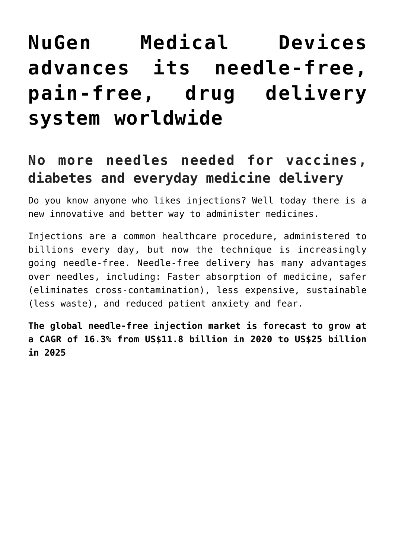# **[NuGen Medical Devices](https://investorintel.com/markets/biotech-healthcare/biotech-intel/nugen-medical-devices-advances-its-needle-free-pain-free-drug-delivery-system-worldwide/) [advances its needle-free,](https://investorintel.com/markets/biotech-healthcare/biotech-intel/nugen-medical-devices-advances-its-needle-free-pain-free-drug-delivery-system-worldwide/) [pain-free, drug delivery](https://investorintel.com/markets/biotech-healthcare/biotech-intel/nugen-medical-devices-advances-its-needle-free-pain-free-drug-delivery-system-worldwide/) [system worldwide](https://investorintel.com/markets/biotech-healthcare/biotech-intel/nugen-medical-devices-advances-its-needle-free-pain-free-drug-delivery-system-worldwide/)**

## **No more needles needed for vaccines, diabetes and everyday medicine delivery**

Do you know anyone who likes injections? Well today there is a new innovative and better way to administer medicines.

Injections are a common healthcare procedure, administered to billions every day, but now the technique is increasingly going needle-free. Needle-free delivery has many advantages over needles, including: Faster absorption of medicine, safer (eliminates cross-contamination), less expensive, sustainable (less waste), and reduced patient anxiety and fear.

**The global needle-free injection market is forecast to grow at a CAGR of 16.3% from US\$11.8 billion in 2020 to US\$25 billion in 2025**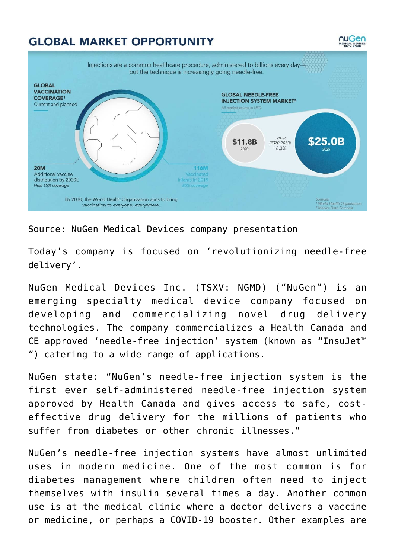### **GLOBAL MARKET OPPORTUNITY**



nuGen

#### Source: [NuGen Medical Devices company presentation](https://nugenmd.wp2.adnetcms.com/wp-content/uploads/2021/10/NuGen-Brand-Deck_V7C_Website-timeline.pdf)

Today's company is focused on 'revolutionizing needle-free delivery'.

[NuGen Medical Devices Inc.](https://www.nugenmd.com/) (TSXV: NGMD) ("NuGen") is an emerging specialty medical device company focused on developing and commercializing novel drug delivery technologies. The company commercializes a Health Canada and CE approved 'needle-free injection' system (known as "InsuJet™ ") catering to a wide range of applications.

NuGen [state](https://www.nugenmd.com/news/2022/nugen-provides-2021-year-in-review-and-2022-corporate-update/): "NuGen's needle-free injection system is the first ever self-administered needle-free injection system approved by Health Canada and gives access to safe, costeffective drug delivery for the millions of patients who suffer from diabetes or other chronic illnesses."

NuGen's needle-free injection systems have almost unlimited uses in modern medicine. One of the most common is for diabetes management where children often need to inject themselves with insulin several times a day. Another common use is at the medical clinic where a doctor delivers a vaccine or medicine, or perhaps a COVID-19 booster. Other examples are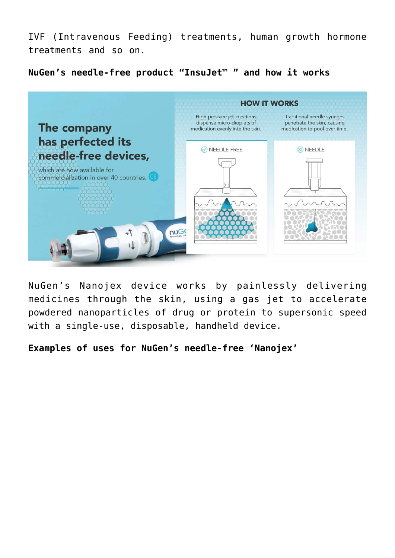IVF (Intravenous Feeding) treatments, human growth hormone treatments and so on.

**NuGen's needle-free product "InsuJet™ " and how it works**

| The company                                                            | <b>HOW IT WORKS</b>                                                                            |                                                                                             |
|------------------------------------------------------------------------|------------------------------------------------------------------------------------------------|---------------------------------------------------------------------------------------------|
|                                                                        | High-pressure jet injections<br>dispense micro-droplets of<br>medication evenly into the skin. | Traditional needle syringes<br>penetrate the skin, causing<br>medication to pool over time. |
| has perfected its<br>needle-free devices,                              | NEEDLE-FREE                                                                                    | 8 NEEDLE                                                                                    |
| which are now available for<br>commercialization in over 40 countries. |                                                                                                |                                                                                             |
| <b>MUGE</b>                                                            |                                                                                                |                                                                                             |

NuGen's Nanojex device works by painlessly delivering medicines through the skin, using a gas jet to accelerate powdered nanoparticles of drug or protein to supersonic speed with a single-use, disposable, handheld device.

**Examples of uses for NuGen's needle-free 'Nanojex'**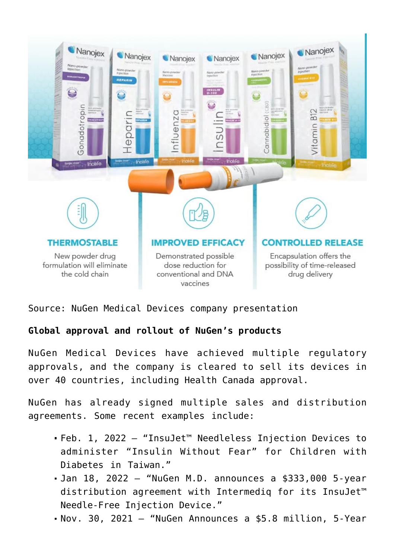

Source: [NuGen Medical Devices company presentation](https://nugenmd.wp2.adnetcms.com/wp-content/uploads/2021/10/NuGen-Brand-Deck_V7C_Website-timeline.pdf)

#### **Global approval and rollout of NuGen's products**

NuGen Medical Devices have achieved multiple regulatory approvals, and the company is cleared to sell its devices in over 40 countries, including [Health Canada approval.](https://www.nugenmd.com/news/2021/nugen-medical-devices-receives-health-canada-approval-for-its-needle-free-injection-system/)

NuGen has already signed multiple sales and distribution agreements. Some recent examples include:

- [Feb. 1, 2022](https://www.nugenmd.com/news/2022/nugen-m-d-delivers-insujet-needleless-injection-devices-to-administer-insulin-without-fear-for-children-with-diabetes-in-taiwan/) "InsuJet™ Needleless Injection Devices to administer "Insulin Without Fear" for Children with Diabetes in Taiwan."
- [Jan 18, 2022](https://www.nugenmd.com/news/2022/nugen-md-announces-5-year-distribution-agreement-with-intermediq-for-insujet-needle-free-injection-device/) "NuGen M.D. announces a \$333,000 5-year distribution agreement with Intermediq for its InsuJet™ Needle-Free Injection Device."
- [Nov. 30, 2021](https://www.nugenmd.com/news/2021/nugen-announces-5-year-distribution-agreement-with-khotwa-medical/) "NuGen Announces a \$5.8 million, 5-Year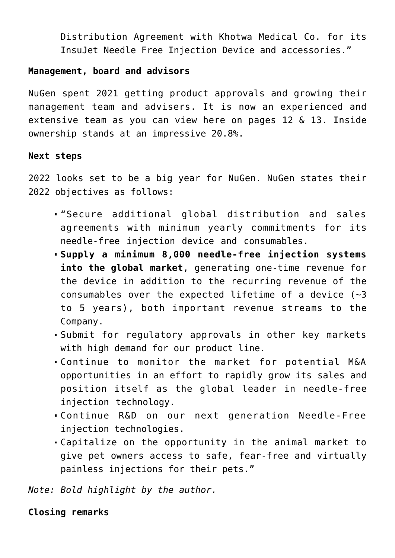Distribution Agreement with Khotwa Medical Co. for its InsuJet Needle Free Injection Device and accessories."

#### **Management, board and advisors**

NuGen spent 2021 getting product approvals and growing their management team and advisers. It is now an experienced and extensive team as you can view [here](https://nugenmd.wp2.adnetcms.com/wp-content/uploads/2021/10/NuGen-Brand-Deck_V7C_Website-timeline.pdf) on pages 12 & 13. Inside ownership stands at an impressive [20.8%](https://nugenmd.wp2.adnetcms.com/wp-content/uploads/2021/10/NuGen-Brand-Deck_V7C_Website-timeline.pdf).

#### **Next steps**

2022 looks set to be a big year for NuGen. NuGen states their 2022 objectives as follows:

- "Secure additional global distribution and sales agreements with minimum yearly commitments for its needle-free injection device and consumables.
- **Supply a minimum 8,000 needle-free injection systems into the global market**, generating one-time revenue for the device in addition to the recurring revenue of the consumables over the expected lifetime of a device  $(-3)$ to 5 years), both important revenue streams to the Company.
- Submit for regulatory approvals in other key markets with high demand for our product line.
- Continue to monitor the market for potential M&A opportunities in an effort to rapidly grow its sales and position itself as the global leader in needle-free injection technology.
- Continue R&D on our next generation Needle-Free injection technologies.
- Capitalize on the opportunity in the animal market to give pet owners access to safe, fear-free and virtually painless injections for their pets."

*Note: Bold highlight by the author.*

#### **Closing remarks**